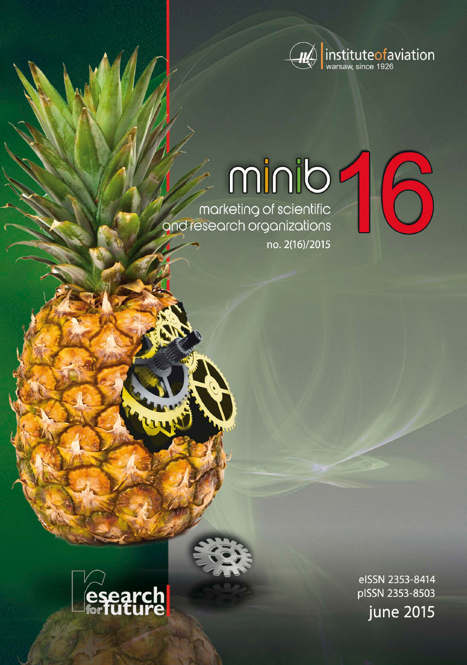

# minib

marketing of scientific and research organizations no. 2(16)/2015



eISSN 2353-8414 pISSN 2353-8503 june 2015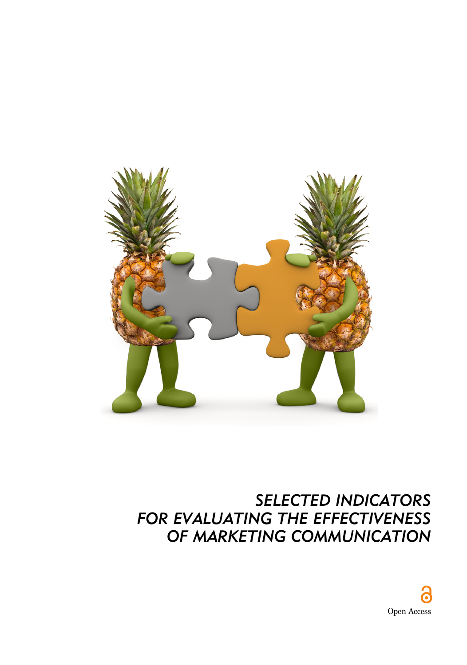

## *SELECTED INDICATORS FOR EVALUATING THE EFFECTIVENESS OF MARKETING COMMUNICATION*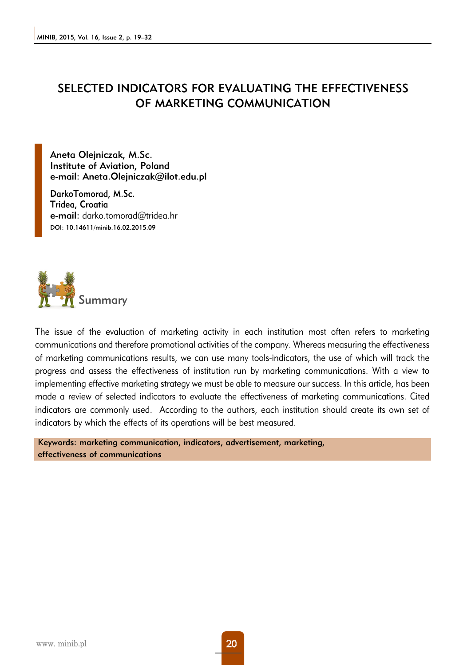### SELECTED INDICATORS FOR EVALUATING THE EFFECTIVENESS OF MARKETING COMMUNICATION

Aneta Olejniczak, M.Sc. Institute of Aviation, Poland e-mail: Aneta.Olejniczak@ilot.edu.pl

DarkoTomorad, M.Sc. Tridea, Croatia e-mail: darko.tomorad@tridea.hr DOI: 10.14611/minib.16.02.2015.09



The issue of the evaluation of marketing activity in each institution most often refers to marketing communications and therefore promotional activities of the company. Whereas measuring the effectiveness of marketing communications results, we can use many tools-indicators, the use of which will track the progress and assess the effectiveness of institution run by marketing communications. With a view to implementing effective marketing strategy we must be able to measure our success. In this article, has been made a review of selected indicators to evaluate the effectiveness of marketing communications. Cited indicators are commonly used. According to the authors, each institution should create its own set of indicators by which the effects of its operations will be best measured.

Keywords: marketing communication, indicators, advertisement, marketing, effectiveness of communications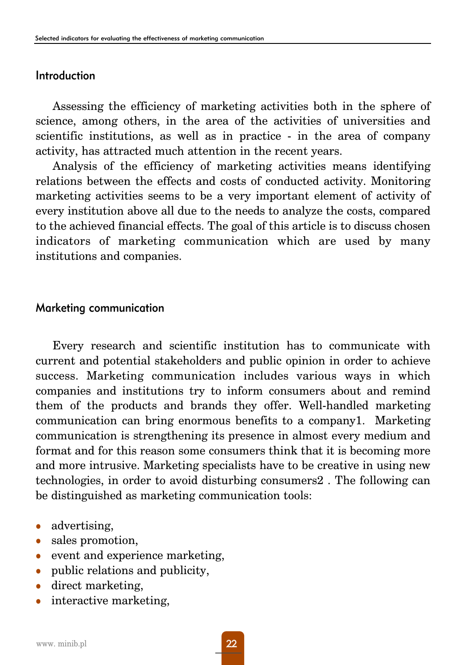#### Introduction

Assessing the efficiency of marketing activities both in the sphere of science, among others, in the area of the activities of universities and scientific institutions, as well as in practice - in the area of company activity, has attracted much attention in the recent years.

Analysis of the efficiency of marketing activities means identifying relations between the effects and costs of conducted activity. Monitoring marketing activities seems to be a very important element of activity of every institution above all due to the needs to analyze the costs, compared to the achieved financial effects. The goal of this article is to discuss chosen indicators of marketing communication which are used by many institutions and companies.

#### Marketing communication

Every research and scientific institution has to communicate with current and potential stakeholders and public opinion in order to achieve success. Marketing communication includes various ways in which companies and institutions try to inform consumers about and remind them of the products and brands they offer. Well-handled marketing communication can bring enormous benefits to a company1. Marketing communication is strengthening its presence in almost every medium and format and for this reason some consumers think that it is becoming more and more intrusive. Marketing specialists have to be creative in using new technologies, in order to avoid disturbing consumers2 . The following can be distinguished as marketing communication tools:

- $\bullet$  advertising,
- sales promotion,
- $\bullet$  event and experience marketing,
- $\bullet$  public relations and publicity,
- direct marketing,
- interactive marketing,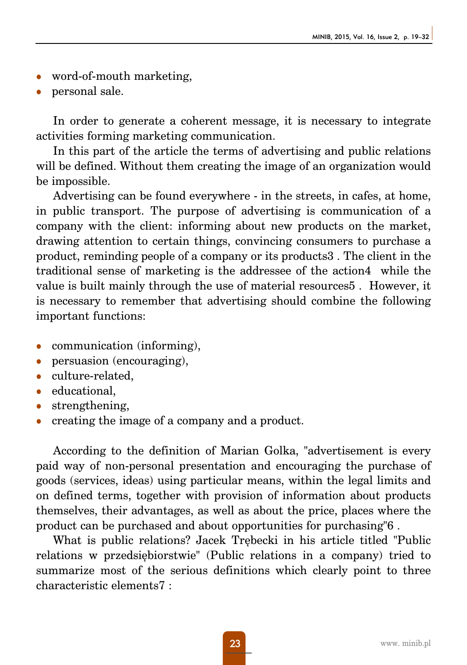- word-of-mouth marketing,
- personal sale.

In order to generate a coherent message, it is necessary to integrate activities forming marketing communication.

In this part of the article the terms of advertising and public relations will be defined. Without them creating the image of an organization would be impossible.

Advertising can be found everywhere - in the streets, in cafes, at home, in public transport. The purpose of advertising is communication of a company with the client: informing about new products on the market, drawing attention to certain things, convincing consumers to purchase a product, reminding people of a company or its products3 . The client in the traditional sense of marketing is the addressee of the action4 while the value is built mainly through the use of material resources5 . However, it is necessary to remember that advertising should combine the following important functions:

- communication (informing),
- persuasion (encouraging),
- culture-related.
- $\bullet$  educational,
- strengthening,
- <sup>z</sup> creating the image of a company and a product.

According to the definition of Marian Golka, "advertisement is every paid way of non-personal presentation and encouraging the purchase of goods (services, ideas) using particular means, within the legal limits and on defined terms, together with provision of information about products themselves, their advantages, as well as about the price, places where the product can be purchased and about opportunities for purchasing"6 .

What is public relations? Jacek Trębecki in his article titled "Public relations w przedsiębiorstwie" (Public relations in a company) tried to summarize most of the serious definitions which clearly point to three characteristic elements7 :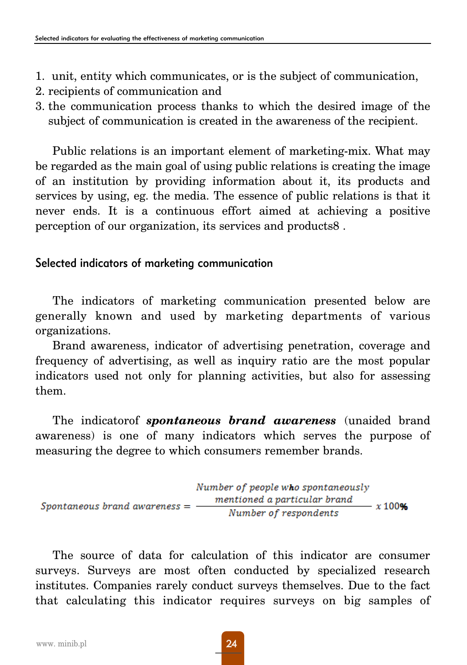- 1. unit, entity which communicates, or is the subject of communication,
- 2. recipients of communication and
- 3. the communication process thanks to which the desired image of the subject of communication is created in the awareness of the recipient.

Public relations is an important element of marketing-mix. What may be regarded as the main goal of using public relations is creating the image of an institution by providing information about it, its products and services by using, eg. the media. The essence of public relations is that it never ends. It is a continuous effort aimed at achieving a positive perception of our organization, its services and products8 .

#### Selected indicators of marketing communication

The indicators of marketing communication presented below are generally known and used by marketing departments of various organizations.

Brand awareness, indicator of advertising penetration, coverage and frequency of advertising, as well as inquiry ratio are the most popular indicators used not only for planning activities, but also for assessing them.

The indicatorof *spontaneous brand awareness* (unaided brand awareness) is one of many indicators which serves the purpose of measuring the degree to which consumers remember brands.

```
Number of people who spontaneously
                                 mentioned a particular brand
Spontaneous brand awareness =x100%Number of respondents
```
The source of data for calculation of this indicator are consumer surveys. Surveys are most often conducted by specialized research institutes. Companies rarely conduct surveys themselves. Due to the fact that calculating this indicator requires surveys on big samples of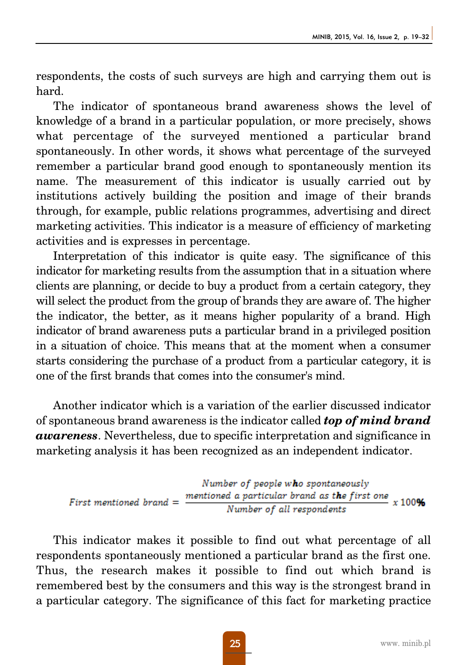respondents, the costs of such surveys are high and carrying them out is hard.

The indicator of spontaneous brand awareness shows the level of knowledge of a brand in a particular population, or more precisely, shows what percentage of the surveyed mentioned a particular brand spontaneously. In other words, it shows what percentage of the surveyed remember a particular brand good enough to spontaneously mention its name. The measurement of this indicator is usually carried out by institutions actively building the position and image of their brands through, for example, public relations programmes, advertising and direct marketing activities. This indicator is a measure of efficiency of marketing activities and is expresses in percentage.

Interpretation of this indicator is quite easy. The significance of this indicator for marketing results from the assumption that in a situation where clients are planning, or decide to buy a product from a certain category, they will select the product from the group of brands they are aware of. The higher the indicator, the better, as it means higher popularity of a brand. High indicator of brand awareness puts a particular brand in a privileged position in a situation of choice. This means that at the moment when a consumer starts considering the purchase of a product from a particular category, it is one of the first brands that comes into the consumer's mind.

Another indicator which is a variation of the earlier discussed indicator of spontaneous brand awareness is the indicator called *top of mind brand awareness*. Nevertheless, due to specific interpretation and significance in marketing analysis it has been recognized as an independent indicator.

Number of people who spontaneously mentioned a particular brand as the first one  $x$  100%  $First$  mentioned brand  $=$ Number of all respondents

This indicator makes it possible to find out what percentage of all respondents spontaneously mentioned a particular brand as the first one. Thus, the research makes it possible to find out which brand is remembered best by the consumers and this way is the strongest brand in a particular category. The significance of this fact for marketing practice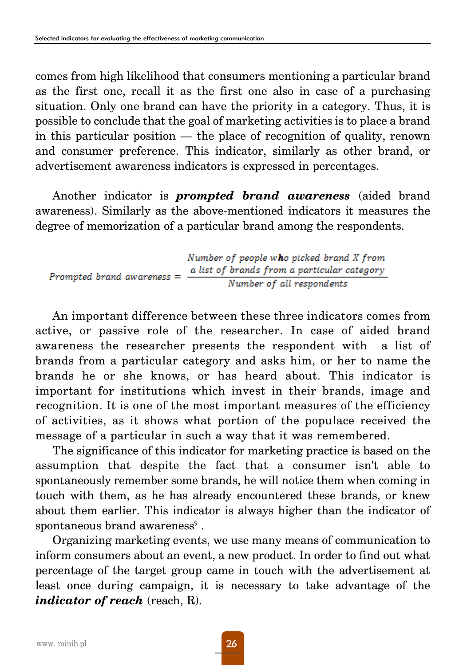comes from high likelihood that consumers mentioning a particular brand as the first one, recall it as the first one also in case of a purchasing situation. Only one brand can have the priority in a category. Thus, it is possible to conclude that the goal of marketing activities is to place a brand in this particular position — the place of recognition of quality, renown and consumer preference. This indicator, similarly as other brand, or advertisement awareness indicators is expressed in percentages.

Another indicator is *prompted brand awareness* (aided brand awareness). Similarly as the above-mentioned indicators it measures the degree of memorization of a particular brand among the respondents.

|                              | Number of people who picked brand X from    |  |
|------------------------------|---------------------------------------------|--|
| Prompted brand awareness $=$ | a list of brands from a particular category |  |
|                              | Number of all respondents                   |  |

An important difference between these three indicators comes from active, or passive role of the researcher. In case of aided brand awareness the researcher presents the respondent with a list of brands from a particular category and asks him, or her to name the brands he or she knows, or has heard about. This indicator is important for institutions which invest in their brands, image and recognition. It is one of the most important measures of the efficiency of activities, as it shows what portion of the populace received the message of a particular in such a way that it was remembered.

The significance of this indicator for marketing practice is based on the assumption that despite the fact that a consumer isn't able to spontaneously remember some brands, he will notice them when coming in touch with them, as he has already encountered these brands, or knew about them earlier. This indicator is always higher than the indicator of spontaneous brand awareness<sup>9</sup>.

Organizing marketing events, we use many means of communication to inform consumers about an event, a new product. In order to find out what percentage of the target group came in touch with the advertisement at least once during campaign, it is necessary to take advantage of the *indicator of reach* (reach, R).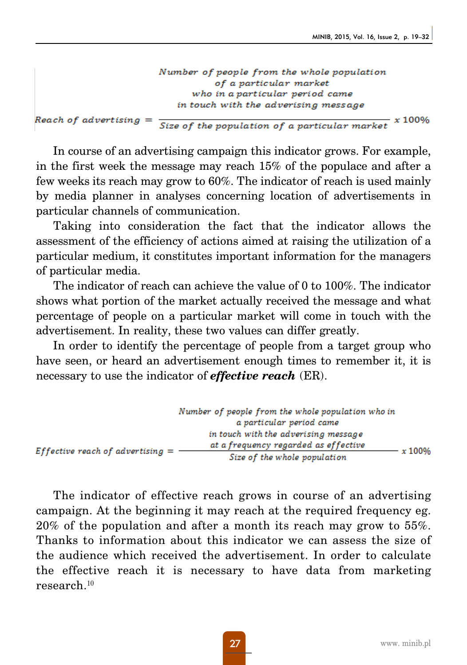Number of people from the whole population of a particular market who in a particular period came in touch with the adverising message

Reach of advertising =

Size of the population of a particular market  $x$  100%

In course of an advertising campaign this indicator grows. For example, in the first week the message may reach 15% of the populace and after a few weeks its reach may grow to 60%. The indicator of reach is used mainly by media planner in analyses concerning location of advertisements in particular channels of communication.

Taking into consideration the fact that the indicator allows the assessment of the efficiency of actions aimed at raising the utilization of a particular medium, it constitutes important information for the managers of particular media.

The indicator of reach can achieve the value of 0 to 100%. The indicator shows what portion of the market actually received the message and what percentage of people on a particular market will come in touch with the advertisement. In reality, these two values can differ greatly.

In order to identify the percentage of people from a target group who have seen, or heard an advertisement enough times to remember it, it is necessary to use the indicator of *effective reach* (ER).

|                                    | Number of people from the whole population who in |        |
|------------------------------------|---------------------------------------------------|--------|
|                                    | a particular period came                          |        |
|                                    | in touch with the adverising message              |        |
| Effective reach of advertising $=$ | at a frequency regarded as effective              | x 100% |
|                                    | Size of the whole population                      |        |

The indicator of effective reach grows in course of an advertising campaign. At the beginning it may reach at the required frequency eg. 20% of the population and after a month its reach may grow to 55%. Thanks to information about this indicator we can assess the size of the audience which received the advertisement. In order to calculate the effective reach it is necessary to have data from marketing research.<sup>10</sup>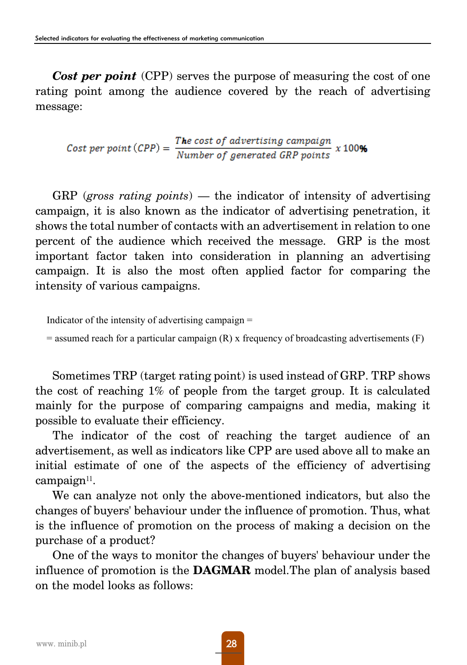*Cost per point* (CPP) serves the purpose of measuring the cost of one rating point among the audience covered by the reach of advertising message:

Cost per point  $(CPP) = \frac{The \ cost \ of \ advertising \ campaign}{Number \ of \ generated \ GRP \ points} \ x \ 100\%$ 

GRP (*gross rating points*) — the indicator of intensity of advertising campaign, it is also known as the indicator of advertising penetration, it shows the total number of contacts with an advertisement in relation to one percent of the audience which received the message. GRP is the most important factor taken into consideration in planning an advertising campaign. It is also the most often applied factor for comparing the intensity of various campaigns.

Indicator of the intensity of advertising campaign =

 $=$  assumed reach for a particular campaign  $(R)$  x frequency of broadcasting advertisements  $(F)$ 

Sometimes TRP (target rating point) is used instead of GRP. TRP shows the cost of reaching 1% of people from the target group. It is calculated mainly for the purpose of comparing campaigns and media, making it possible to evaluate their efficiency.

The indicator of the cost of reaching the target audience of an advertisement, as well as indicators like CPP are used above all to make an initial estimate of one of the aspects of the efficiency of advertising campaign $11$ .

We can analyze not only the above-mentioned indicators, but also the changes of buyers' behaviour under the influence of promotion. Thus, what is the influence of promotion on the process of making a decision on the purchase of a product?

One of the ways to monitor the changes of buyers' behaviour under the influence of promotion is the **DAGMAR** model.The plan of analysis based on the model looks as follows: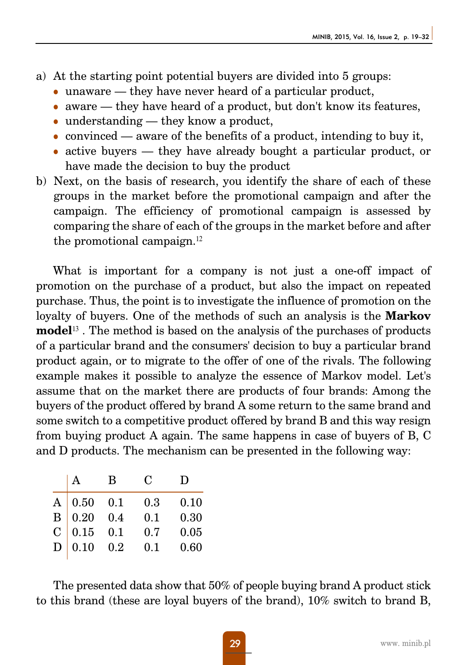- a) At the starting point potential buyers are divided into 5 groups:
	- $\bullet$  unaware they have never heard of a particular product,
	- $\bullet$  aware they have heard of a product, but don't know its features,
	- $\bullet$  understanding they know a product,
	- convinced aware of the benefits of a product, intending to buy it,
	- $\bullet$  active buyers they have already bought a particular product, or have made the decision to buy the product
- b) Next, on the basis of research, you identify the share of each of these groups in the market before the promotional campaign and after the campaign. The efficiency of promotional campaign is assessed by comparing the share of each of the groups in the market before and after the promotional campaign.<sup>12</sup>

What is important for a company is not just a one-off impact of promotion on the purchase of a product, but also the impact on repeated purchase. Thus, the point is to investigate the influence of promotion on the loyalty of buyers. One of the methods of such an analysis is the **Markov model**<sup>13</sup> . The method is based on the analysis of the purchases of products of a particular brand and the consumers' decision to buy a particular brand product again, or to migrate to the offer of one of the rivals. The following example makes it possible to analyze the essence of Markov model. Let's assume that on the market there are products of four brands: Among the buyers of the product offered by brand A some return to the same brand and some switch to a competitive product offered by brand B and this way resign from buying product A again. The same happens in case of buyers of B, C and D products. The mechanism can be presented in the following way:

|   |                                                                                                             | $\mathbf{B}$ | $\mathbf C$ | D    |
|---|-------------------------------------------------------------------------------------------------------------|--------------|-------------|------|
|   | $\begin{array}{c cc}\n\text{A} & 0.50 & 0.1 \\ \text{B} & 0.20 & 0.4 \\ \text{C} & 0.15 & 0.1\n\end{array}$ |              | 0.3         | 0.10 |
|   |                                                                                                             |              | 0.1         | 0.30 |
|   |                                                                                                             |              | 0.7         | 0.05 |
| D | $0.10 \quad 0.2$                                                                                            |              | 0.1         | 0.60 |
|   |                                                                                                             |              |             |      |

The presented data show that 50% of people buying brand A product stick to this brand (these are loyal buyers of the brand), 10% switch to brand B,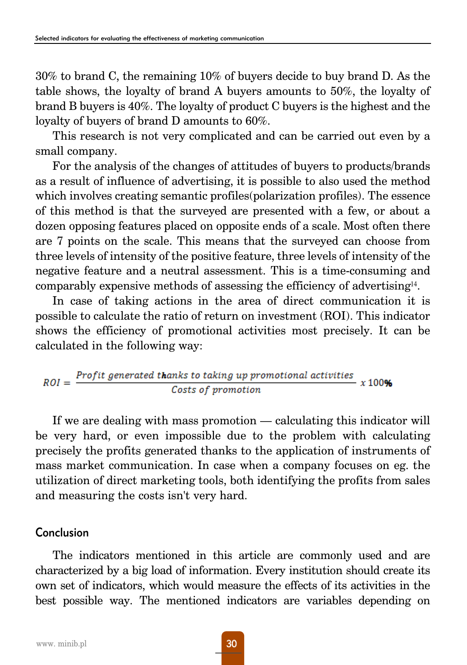30% to brand C, the remaining 10% of buyers decide to buy brand D. As the table shows, the loyalty of brand A buyers amounts to 50%, the loyalty of brand B buyers is 40%. The loyalty of product C buyers is the highest and the loyalty of buyers of brand D amounts to 60%.

This research is not very complicated and can be carried out even by a small company.

For the analysis of the changes of attitudes of buyers to products/brands as a result of influence of advertising, it is possible to also used the method which involves creating semantic profiles(polarization profiles). The essence of this method is that the surveyed are presented with a few, or about a dozen opposing features placed on opposite ends of a scale. Most often there are 7 points on the scale. This means that the surveyed can choose from three levels of intensity of the positive feature, three levels of intensity of the negative feature and a neutral assessment. This is a time-consuming and comparably expensive methods of assessing the efficiency of advertising14.

In case of taking actions in the area of direct communication it is possible to calculate the ratio of return on investment (ROI). This indicator shows the efficiency of promotional activities most precisely. It can be calculated in the following way:

$$
ROI = \frac{Profit\ generated\ thanks\ to\ taking\ up\ promotional\ activities}{Costs\ of\ promotion} \ x\ 100\%
$$

If we are dealing with mass promotion — calculating this indicator will be very hard, or even impossible due to the problem with calculating precisely the profits generated thanks to the application of instruments of mass market communication. In case when a company focuses on eg. the utilization of direct marketing tools, both identifying the profits from sales and measuring the costs isn't very hard.

#### Conclusion

The indicators mentioned in this article are commonly used and are characterized by a big load of information. Every institution should create its own set of indicators, which would measure the effects of its activities in the best possible way. The mentioned indicators are variables depending on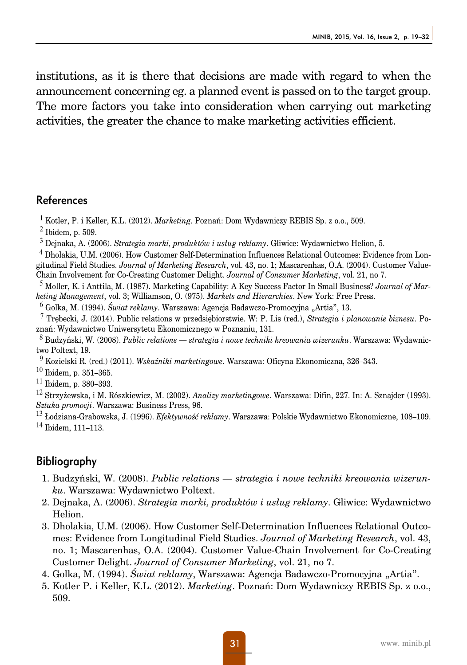institutions, as it is there that decisions are made with regard to when the announcement concerning eg. a planned event is passed on to the target group. The more factors you take into consideration when carrying out marketing activities, the greater the chance to make marketing activities efficient.

#### References

<sup>1</sup> Kotler, P. i Keller, K.L. (2012). *Marketing*. Poznań: Dom Wydawniczy REBIS Sp. z o.o., 509.

 $<sup>2</sup>$  Ibidem, p. 509.</sup>

<sup>3</sup> Dejnaka, A. (2006). *Strategia marki, produktów i usług reklamy*. Gliwice: Wydawnictwo Helion, 5.

<sup>4</sup> Dholakia, U.M. (2006). How Customer Self-Determination Influences Relational Outcomes: Evidence from Longitudinal Field Studies. *Journal of Marketing Research*, vol. 43, no. 1; Mascarenhas, O.A. (2004). Customer Value-Chain Involvement for Co-Creating Customer Delight. *Journal of Consumer Marketing*, vol. 21, no 7.

<sup>5</sup> Moller, K. i Anttila, M. (1987). Marketing Capability: A Key Success Factor In Small Business? *Journal of Marketing Management*, vol. 3; Williamson, O. (975). *Markets and Hierarchies*. New York: Free Press.

<sup>6</sup> Golka, M. (1994). *Świat reklamy*. Warszawa: Agencja Badawczo-Promocyjna "Artia", 13.

<sup>7</sup> Trębecki, J. (2014). Public relations w przedsiębiorstwie. W: P. Lis (red.), *Strategia i planowanie biznesu*. Poznań: Wydawnictwo Uniwersytetu Ekonomicznego w Poznaniu, 131.

<sup>8</sup> Budzyński, W. (2008). *Public relations — strategia i nowe techniki kreowania wizerunku*. Warszawa: Wydawnictwo Poltext, 19.

<sup>9</sup> Kozielski R. (red.) (2011). *Wskaźniki marketingowe*. Warszawa: Oficyna Ekonomiczna, 326–343.

 $10$  Ibidem, p. 351-365.

 $11$  Ibidem, p. 380–393.

<sup>12</sup> Strzyżewska, i M. Rószkiewicz, M. (2002). *Analizy marketingowe*. Warszawa: Difin, 227. In: A. Sznajder (1993). *Sztuka promocji*. Warszawa: Business Press, 96.

<sup>13</sup> Łodziana-Grabowska, J. (1996). *Efektywność reklamy*. Warszawa: Polskie Wydawnictwo Ekonomiczne, 108–109. <sup>14</sup> Ibidem, 111–113.

#### Bibliography

- 1. Budzyński, W. (2008). *Public relations strategia i nowe techniki kreowania wizerunku*. Warszawa: Wydawnictwo Poltext.
- 2. Dejnaka, A. (2006). *Strategia marki, produktów i usług reklamy*. Gliwice: Wydawnictwo Helion.
- 3. Dholakia, U.M. (2006). How Customer Self-Determination Influences Relational Outcomes: Evidence from Longitudinal Field Studies. *Journal of Marketing Research*, vol. 43, no. 1; Mascarenhas, O.A. (2004). Customer Value-Chain Involvement for Co-Creating Customer Delight. *Journal of Consumer Marketing*, vol. 21, no 7.
- 4. Golka, M. (1994). *Świat reklamy*, Warszawa: Agencja Badawczo-Promocyjna "Artia".
- 5. Kotler P. i Keller, K.L. (2012). *Marketing*. Poznań: Dom Wydawniczy REBIS Sp. z o.o., 509.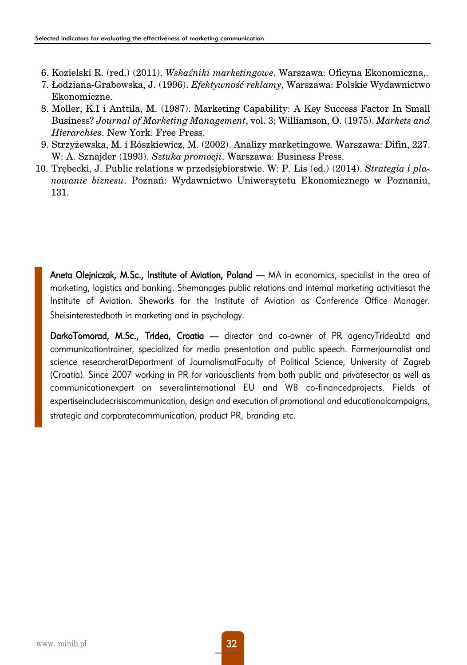- 6. Kozielski R. (red.) (2011). *Wskaźniki marketingowe*. Warszawa: Oficyna Ekonomiczna,.
- 7. Łodziana-Grabowska, J. (1996). *Efektywność reklamy*, Warszawa: Polskie Wydawnictwo Ekonomiczne.
- 8. Moller, K.I i Anttila, M. (1987). Marketing Capability: A Key Success Factor In Small Business? *Journal of Marketing Management*, vol. 3; Williamson, O. (1975). *Markets and Hierarchies*. New York: Free Press.
- 9. Strzyżewska, M. i Rószkiewicz, M. (2002). Analizy marketingowe. Warszawa: Difin, 227. W: A. Sznajder (1993). *Sztuka promocji*. Warszawa: Business Press.
- 10. Trębecki, J. Public relations w przedsiębiorstwie. W: P. Lis (ed.) (2014). *Strategia i planowanie biznesu*. Poznań: Wydawnictwo Uniwersytetu Ekonomicznego w Poznaniu, 131.

Aneta Olejniczak, M.Sc., Institute of Aviation, Poland — MA in economics, specialist in the area of marketing, logistics and banking. Shemanages public relations and internal marketing activitiesat the Institute of Aviation. Sheworks for the Institute of Aviation as Conference Office Manager. Sheisinterestedboth in marketing and in psychology.

DarkoTomorad, M.Sc., Tridea, Croatia — director and co-owner of PR agencyTrideaLtd and communicationtrainer, specialized for media presentation and public speech. Formerjournalist and science researcheratDepartment of JournalismatFaculty of Political Science, University of Zagreb (Croatia). Since 2007 working in PR for variousclients from both public and privatesector as well as communicationexpert on severalinternational EU and WB co-financedprojects. Fields of expertiseincludecrisiscommunication, design and execution of promotional and educationalcampaigns, strategic and corporatecommunication, product PR, branding etc.